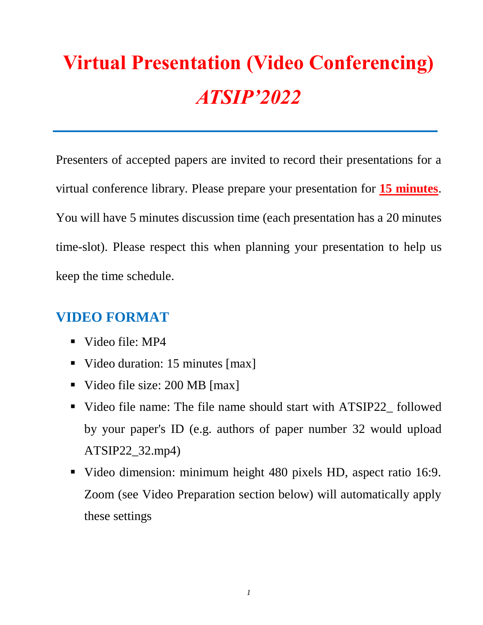# **Virtual Presentation (Video Conferencing)** *ATSIP'2022*

Presenters of accepted papers are invited to record their presentations for a virtual conference library. Please prepare your presentation for **15 minutes**. You will have 5 minutes discussion time (each presentation has a 20 minutes time-slot). Please respect this when planning your presentation to help us keep the time schedule.

#### **VIDEO FORMAT**

- Video file: MP4
- Video duration: 15 minutes [max]
- Video file size: 200 MB [max]
- Video file name: The file name should start with ATSIP22\_followed by your paper's ID (e.g. authors of paper number 32 would upload ATSIP22\_32.mp4)
- Video dimension: minimum height 480 pixels HD, aspect ratio 16:9. Zoom (see Video Preparation section below) will automatically apply these settings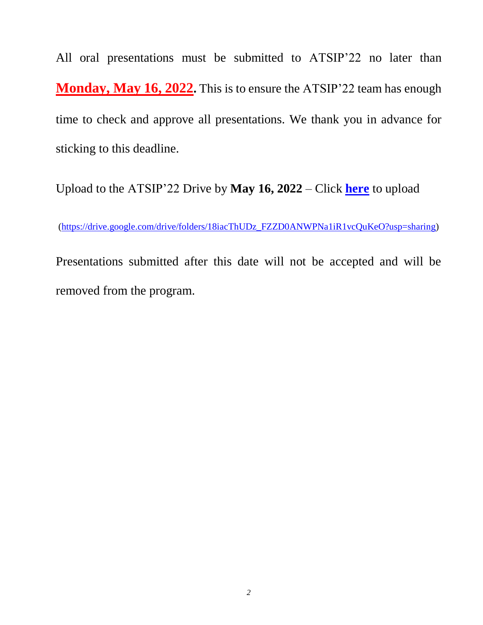All oral presentations must be submitted to ATSIP'22 no later than **Monday, May 16, 2022.** This is to ensure the ATSIP'22 team has enough time to check and approve all presentations. We thank you in advance for sticking to this deadline.

Upload to the ATSIP'22 Drive by **May 16, 2022** – Click **[here](https://drive.google.com/drive/folders/18iacThUDz_FZZD0ANWPNa1iR1vcQuKeO?usp=sharing)** to upload

[\(https://drive.google.com/drive/folders/18iacThUDz\\_FZZD0ANWPNa1iR1vcQuKeO?usp=sharing\)](https://drive.google.com/drive/folders/18iacThUDz_FZZD0ANWPNa1iR1vcQuKeO?usp=sharing)

Presentations submitted after this date will not be accepted and will be removed from the program.